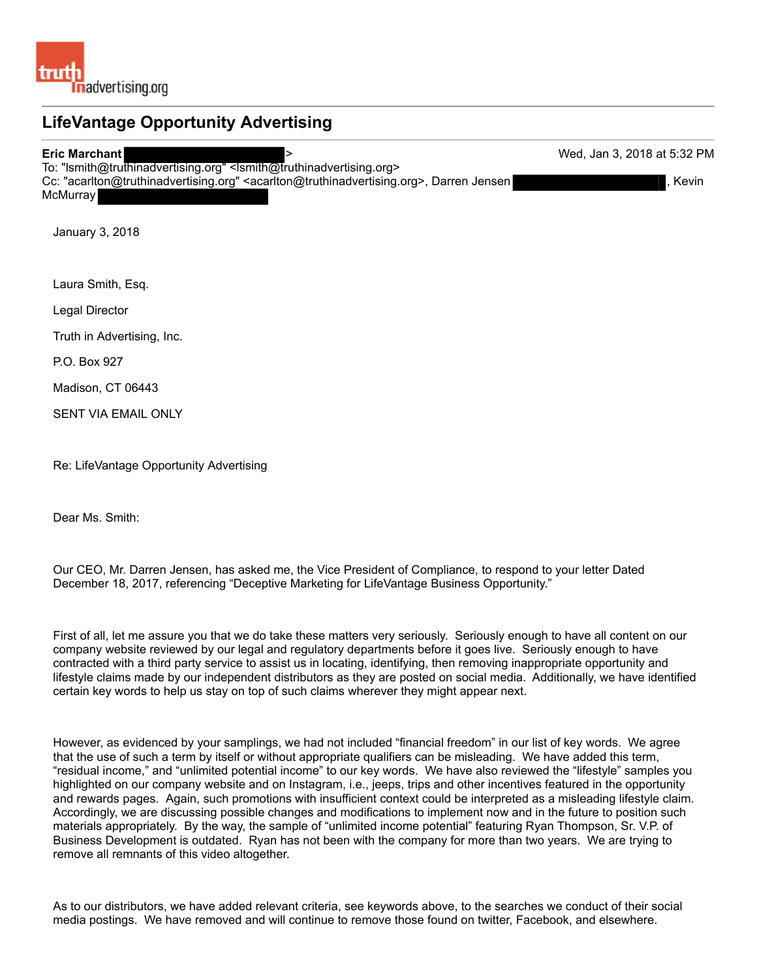## **LifeVantage Opportunity Advertising Eric Marchant**  > Wed, Jan 3, 2018 at 5:32 PM To: "lsmith@truthinadvertising.org" <lsmith@truthinadvertising.org> Cc: "acarlton@truthinadvertising.org" <acarlton@truthinadvertising.org>, Darren Jensen , Kevin **McMurray**

January 3, 2018

Laura Smith, Esq.

Legal Director

Truth in Advertising, Inc.

P.O. Box 927

Madison, CT 06443

SENT VIA EMAIL ONLY

Re: LifeVantage Opportunity Advertising

Dear Ms. Smith:

Our CEO, Mr. Darren Jensen, has asked me, the Vice President of Compliance, to respond to your letter Dated December 18, 2017, referencing "Deceptive Marketing for LifeVantage Business Opportunity."

First of all, let me assure you that we do take these matters very seriously. Seriously enough to have all content on our company website reviewed by our legal and regulatory departments before it goes live. Seriously enough to have contracted with a third party service to assist us in locating, identifying, then removing inappropriate opportunity and lifestyle claims made by our independent distributors as they are posted on social media. Additionally, we have identified certain key words to help us stay on top of such claims wherever they might appear next.

However, as evidenced by your samplings, we had not included "financial freedom" in our list of key words. We agree that the use of such a term by itself or without appropriate qualifiers can be misleading. We have added this term, "residual income," and "unlimited potential income" to our key words. We have also reviewed the "lifestyle" samples you highlighted on our company website and on Instagram, i.e., jeeps, trips and other incentives featured in the opportunity and rewards pages. Again, such promotions with insufficient context could be interpreted as a misleading lifestyle claim. Accordingly, we are discussing possible changes and modifications to implement now and in the future to position such materials appropriately. By the way, the sample of "unlimited income potential" featuring Ryan Thompson, Sr. V.P. of Business Development is outdated. Ryan has not been with the company for more than two years. We are trying to remove all remnants of this video altogether.

As to our distributors, we have added relevant criteria, see keywords above, to the searches we conduct of their social media postings. We have removed and will continue to remove those found on twitter, Facebook, and elsewhere.